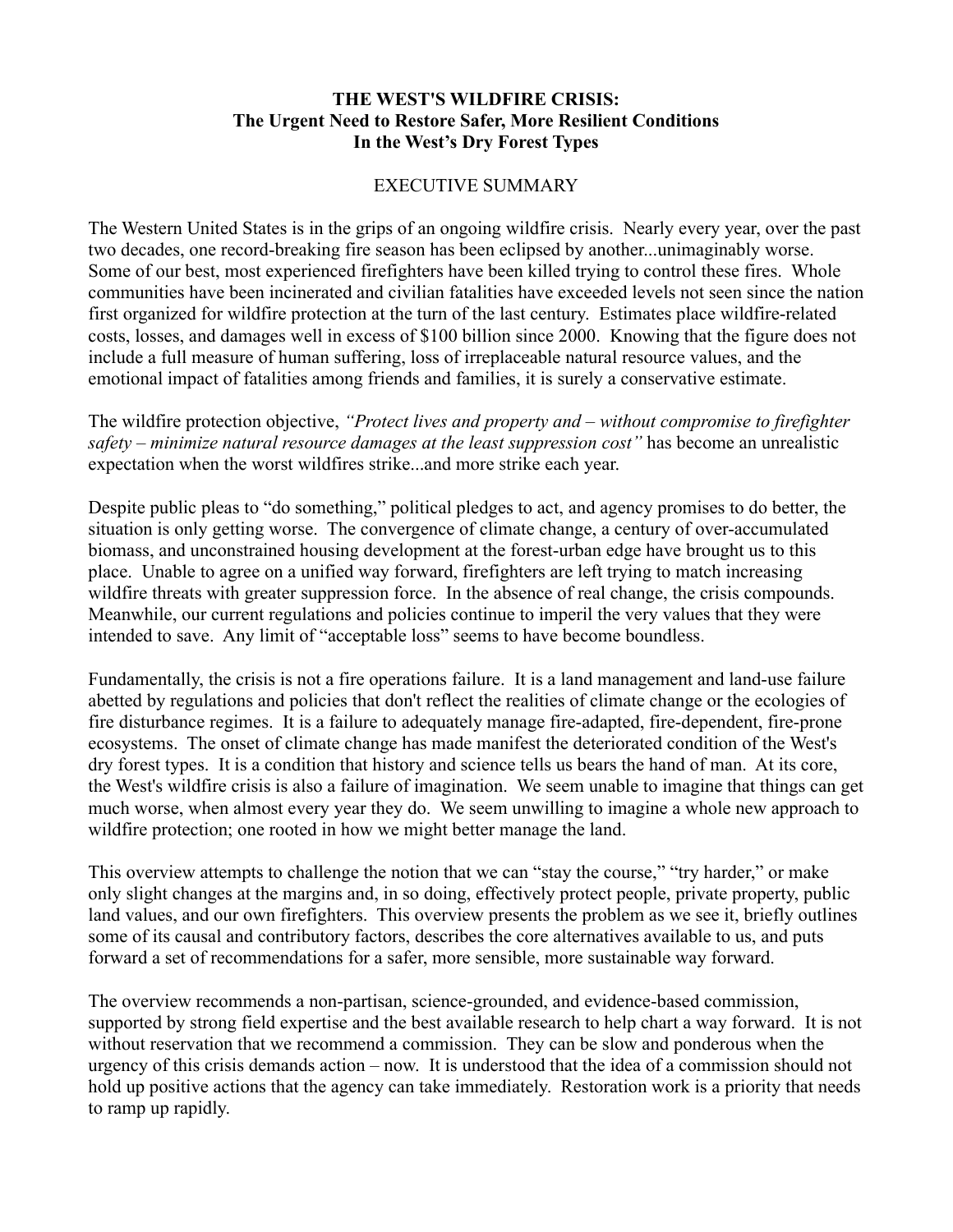# **THE WEST'S WILDFIRE CRISIS: The Urgent Need to Restore Safer, More Resilient Conditions In the West's Dry Forest Types**

# EXECUTIVE SUMMARY

The Western United States is in the grips of an ongoing wildfire crisis. Nearly every year, over the past two decades, one record-breaking fire season has been eclipsed by another...unimaginably worse. Some of our best, most experienced firefighters have been killed trying to control these fires. Whole communities have been incinerated and civilian fatalities have exceeded levels not seen since the nation first organized for wildfire protection at the turn of the last century. Estimates place wildfire-related costs, losses, and damages well in excess of \$100 billion since 2000. Knowing that the figure does not include a full measure of human suffering, loss of irreplaceable natural resource values, and the emotional impact of fatalities among friends and families, it is surely a conservative estimate.

The wildfire protection objective, *"Protect lives and property and – without compromise to firefighter safety – minimize natural resource damages at the least suppression cost"* has become an unrealistic expectation when the worst wildfires strike...and more strike each year.

Despite public pleas to "do something," political pledges to act, and agency promises to do better, the situation is only getting worse. The convergence of climate change, a century of over-accumulated biomass, and unconstrained housing development at the forest-urban edge have brought us to this place. Unable to agree on a unified way forward, firefighters are left trying to match increasing wildfire threats with greater suppression force. In the absence of real change, the crisis compounds. Meanwhile, our current regulations and policies continue to imperil the very values that they were intended to save. Any limit of "acceptable loss" seems to have become boundless.

Fundamentally, the crisis is not a fire operations failure. It is a land management and land-use failure abetted by regulations and policies that don't reflect the realities of climate change or the ecologies of fire disturbance regimes. It is a failure to adequately manage fire-adapted, fire-dependent, fire-prone ecosystems. The onset of climate change has made manifest the deteriorated condition of the West's dry forest types. It is a condition that history and science tells us bears the hand of man. At its core, the West's wildfire crisis is also a failure of imagination. We seem unable to imagine that things can get much worse, when almost every year they do. We seem unwilling to imagine a whole new approach to wildfire protection; one rooted in how we might better manage the land.

This overview attempts to challenge the notion that we can "stay the course," "try harder," or make only slight changes at the margins and, in so doing, effectively protect people, private property, public land values, and our own firefighters. This overview presents the problem as we see it, briefly outlines some of its causal and contributory factors, describes the core alternatives available to us, and puts forward a set of recommendations for a safer, more sensible, more sustainable way forward.

The overview recommends a non-partisan, science-grounded, and evidence-based commission, supported by strong field expertise and the best available research to help chart a way forward. It is not without reservation that we recommend a commission. They can be slow and ponderous when the urgency of this crisis demands action – now. It is understood that the idea of a commission should not hold up positive actions that the agency can take immediately. Restoration work is a priority that needs to ramp up rapidly.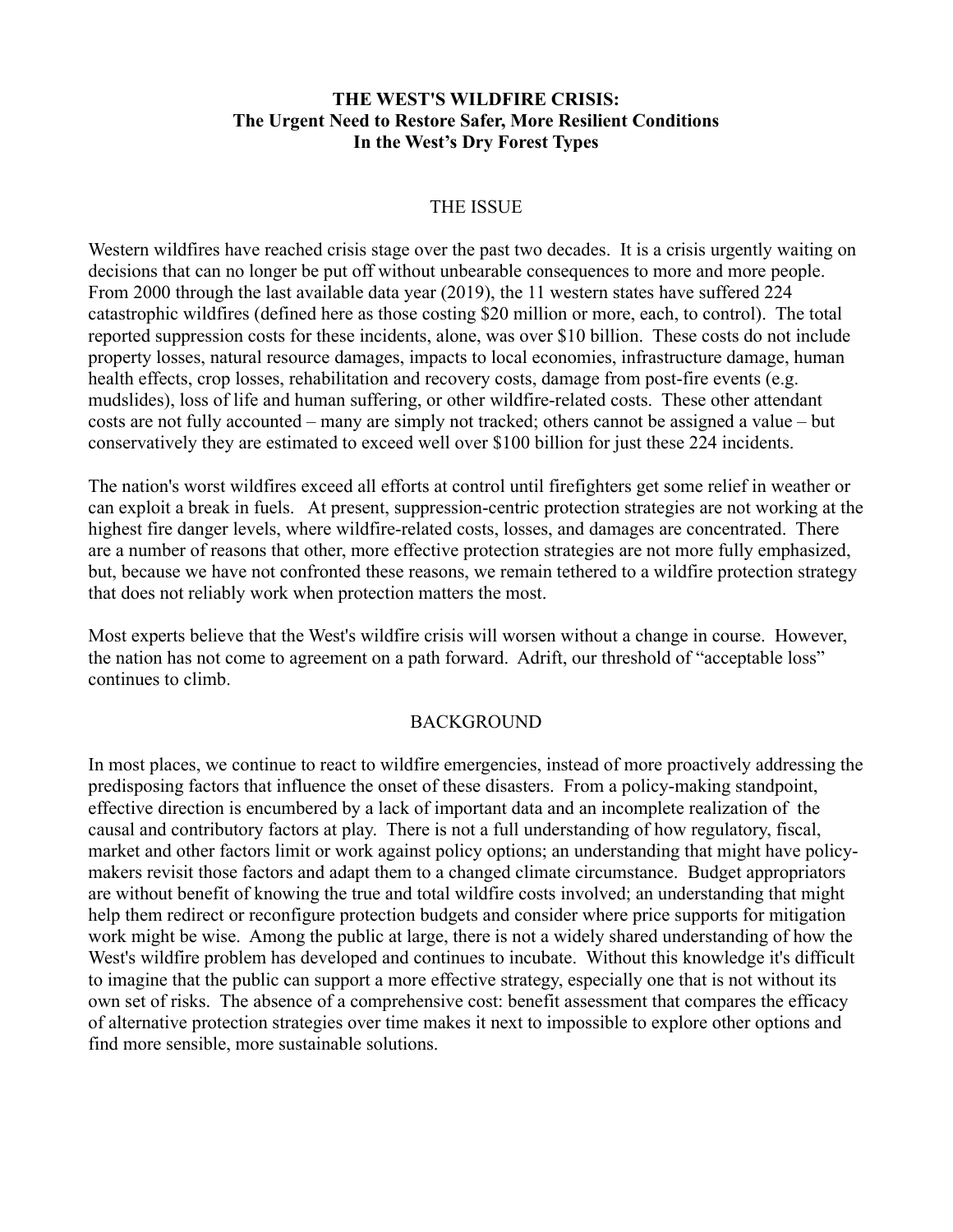# **THE WEST'S WILDFIRE CRISIS: The Urgent Need to Restore Safer, More Resilient Conditions In the West's Dry Forest Types**

#### THE ISSUE

Western wildfires have reached crisis stage over the past two decades. It is a crisis urgently waiting on decisions that can no longer be put off without unbearable consequences to more and more people. From 2000 through the last available data year (2019), the 11 western states have suffered 224 catastrophic wildfires (defined here as those costing \$20 million or more, each, to control). The total reported suppression costs for these incidents, alone, was over \$10 billion. These costs do not include property losses, natural resource damages, impacts to local economies, infrastructure damage, human health effects, crop losses, rehabilitation and recovery costs, damage from post-fire events (e.g. mudslides), loss of life and human suffering, or other wildfire-related costs. These other attendant costs are not fully accounted – many are simply not tracked; others cannot be assigned a value – but conservatively they are estimated to exceed well over \$100 billion for just these 224 incidents.

The nation's worst wildfires exceed all efforts at control until firefighters get some relief in weather or can exploit a break in fuels. At present, suppression-centric protection strategies are not working at the highest fire danger levels, where wildfire-related costs, losses, and damages are concentrated. There are a number of reasons that other, more effective protection strategies are not more fully emphasized, but, because we have not confronted these reasons, we remain tethered to a wildfire protection strategy that does not reliably work when protection matters the most.

Most experts believe that the West's wildfire crisis will worsen without a change in course. However, the nation has not come to agreement on a path forward. Adrift, our threshold of "acceptable loss" continues to climb.

#### **BACKGROUND**

In most places, we continue to react to wildfire emergencies, instead of more proactively addressing the predisposing factors that influence the onset of these disasters. From a policy-making standpoint, effective direction is encumbered by a lack of important data and an incomplete realization of the causal and contributory factors at play. There is not a full understanding of how regulatory, fiscal, market and other factors limit or work against policy options; an understanding that might have policymakers revisit those factors and adapt them to a changed climate circumstance. Budget appropriators are without benefit of knowing the true and total wildfire costs involved; an understanding that might help them redirect or reconfigure protection budgets and consider where price supports for mitigation work might be wise. Among the public at large, there is not a widely shared understanding of how the West's wildfire problem has developed and continues to incubate. Without this knowledge it's difficult to imagine that the public can support a more effective strategy, especially one that is not without its own set of risks. The absence of a comprehensive cost: benefit assessment that compares the efficacy of alternative protection strategies over time makes it next to impossible to explore other options and find more sensible, more sustainable solutions.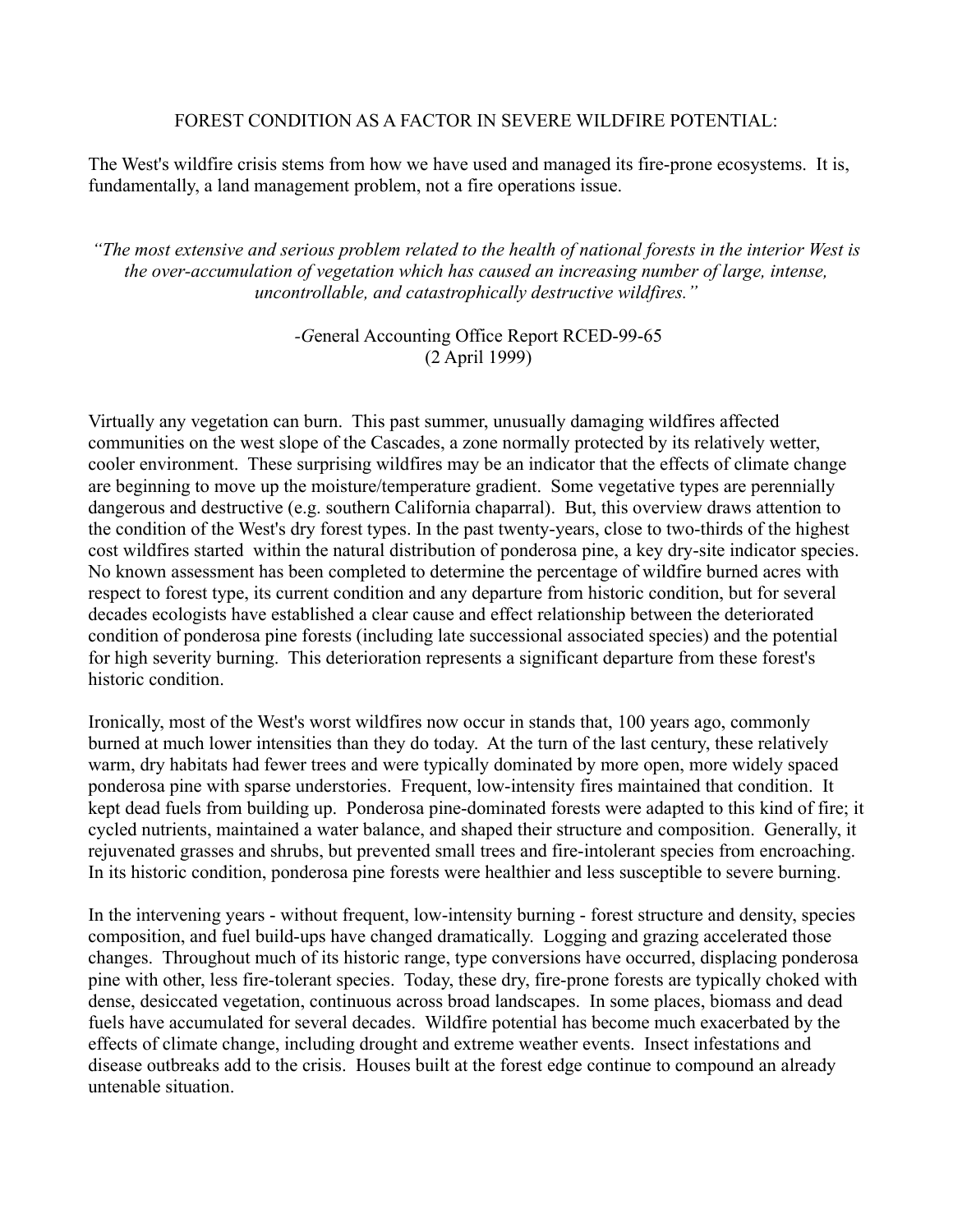# FOREST CONDITION AS A FACTOR IN SEVERE WILDFIRE POTENTIAL:

The West's wildfire crisis stems from how we have used and managed its fire-prone ecosystems. It is, fundamentally, a land management problem, not a fire operations issue.

*"The most extensive and serious problem related to the health of national forests in the interior West is the over-accumulation of vegetation which has caused an increasing number of large, intense, uncontrollable, and catastrophically destructive wildfires."*

> *-G*eneral Accounting Office Report RCED-99-65 (2 April 1999)

Virtually any vegetation can burn. This past summer, unusually damaging wildfires affected communities on the west slope of the Cascades, a zone normally protected by its relatively wetter, cooler environment. These surprising wildfires may be an indicator that the effects of climate change are beginning to move up the moisture/temperature gradient. Some vegetative types are perennially dangerous and destructive (e.g. southern California chaparral). But, this overview draws attention to the condition of the West's dry forest types. In the past twenty-years, close to two-thirds of the highest cost wildfires started within the natural distribution of ponderosa pine, a key dry-site indicator species. No known assessment has been completed to determine the percentage of wildfire burned acres with respect to forest type, its current condition and any departure from historic condition, but for several decades ecologists have established a clear cause and effect relationship between the deteriorated condition of ponderosa pine forests (including late successional associated species) and the potential for high severity burning. This deterioration represents a significant departure from these forest's historic condition.

Ironically, most of the West's worst wildfires now occur in stands that, 100 years ago, commonly burned at much lower intensities than they do today. At the turn of the last century, these relatively warm, dry habitats had fewer trees and were typically dominated by more open, more widely spaced ponderosa pine with sparse understories. Frequent, low-intensity fires maintained that condition. It kept dead fuels from building up. Ponderosa pine-dominated forests were adapted to this kind of fire; it cycled nutrients, maintained a water balance, and shaped their structure and composition. Generally, it rejuvenated grasses and shrubs, but prevented small trees and fire-intolerant species from encroaching. In its historic condition, ponderosa pine forests were healthier and less susceptible to severe burning.

In the intervening years - without frequent, low-intensity burning - forest structure and density, species composition, and fuel build-ups have changed dramatically. Logging and grazing accelerated those changes. Throughout much of its historic range, type conversions have occurred, displacing ponderosa pine with other, less fire-tolerant species. Today, these dry, fire-prone forests are typically choked with dense, desiccated vegetation, continuous across broad landscapes. In some places, biomass and dead fuels have accumulated for several decades. Wildfire potential has become much exacerbated by the effects of climate change, including drought and extreme weather events. Insect infestations and disease outbreaks add to the crisis. Houses built at the forest edge continue to compound an already untenable situation.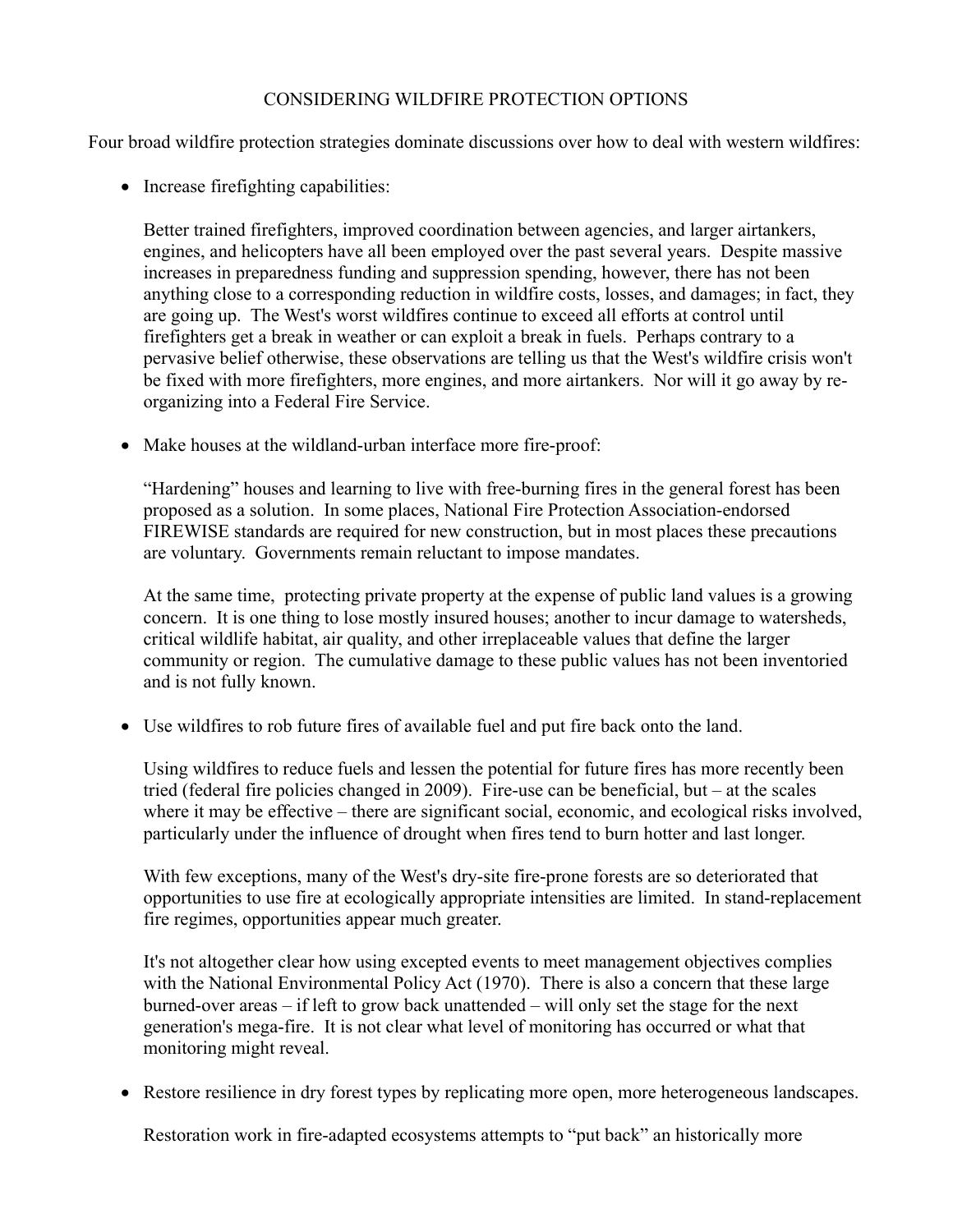# CONSIDERING WILDFIRE PROTECTION OPTIONS

Four broad wildfire protection strategies dominate discussions over how to deal with western wildfires:

• Increase firefighting capabilities:

Better trained firefighters, improved coordination between agencies, and larger airtankers, engines, and helicopters have all been employed over the past several years. Despite massive increases in preparedness funding and suppression spending, however, there has not been anything close to a corresponding reduction in wildfire costs, losses, and damages; in fact, they are going up. The West's worst wildfires continue to exceed all efforts at control until firefighters get a break in weather or can exploit a break in fuels. Perhaps contrary to a pervasive belief otherwise, these observations are telling us that the West's wildfire crisis won't be fixed with more firefighters, more engines, and more airtankers. Nor will it go away by reorganizing into a Federal Fire Service.

• Make houses at the wildland-urban interface more fire-proof:

"Hardening" houses and learning to live with free-burning fires in the general forest has been proposed as a solution. In some places, National Fire Protection Association-endorsed FIREWISE standards are required for new construction, but in most places these precautions are voluntary. Governments remain reluctant to impose mandates.

At the same time, protecting private property at the expense of public land values is a growing concern. It is one thing to lose mostly insured houses; another to incur damage to watersheds, critical wildlife habitat, air quality, and other irreplaceable values that define the larger community or region. The cumulative damage to these public values has not been inventoried and is not fully known.

• Use wildfires to rob future fires of available fuel and put fire back onto the land.

Using wildfires to reduce fuels and lessen the potential for future fires has more recently been tried (federal fire policies changed in 2009). Fire-use can be beneficial, but – at the scales where it may be effective – there are significant social, economic, and ecological risks involved, particularly under the influence of drought when fires tend to burn hotter and last longer.

With few exceptions, many of the West's dry-site fire-prone forests are so deteriorated that opportunities to use fire at ecologically appropriate intensities are limited. In stand-replacement fire regimes, opportunities appear much greater.

It's not altogether clear how using excepted events to meet management objectives complies with the National Environmental Policy Act (1970). There is also a concern that these large burned-over areas – if left to grow back unattended – will only set the stage for the next generation's mega-fire. It is not clear what level of monitoring has occurred or what that monitoring might reveal.

• Restore resilience in dry forest types by replicating more open, more heterogeneous landscapes.

Restoration work in fire-adapted ecosystems attempts to "put back" an historically more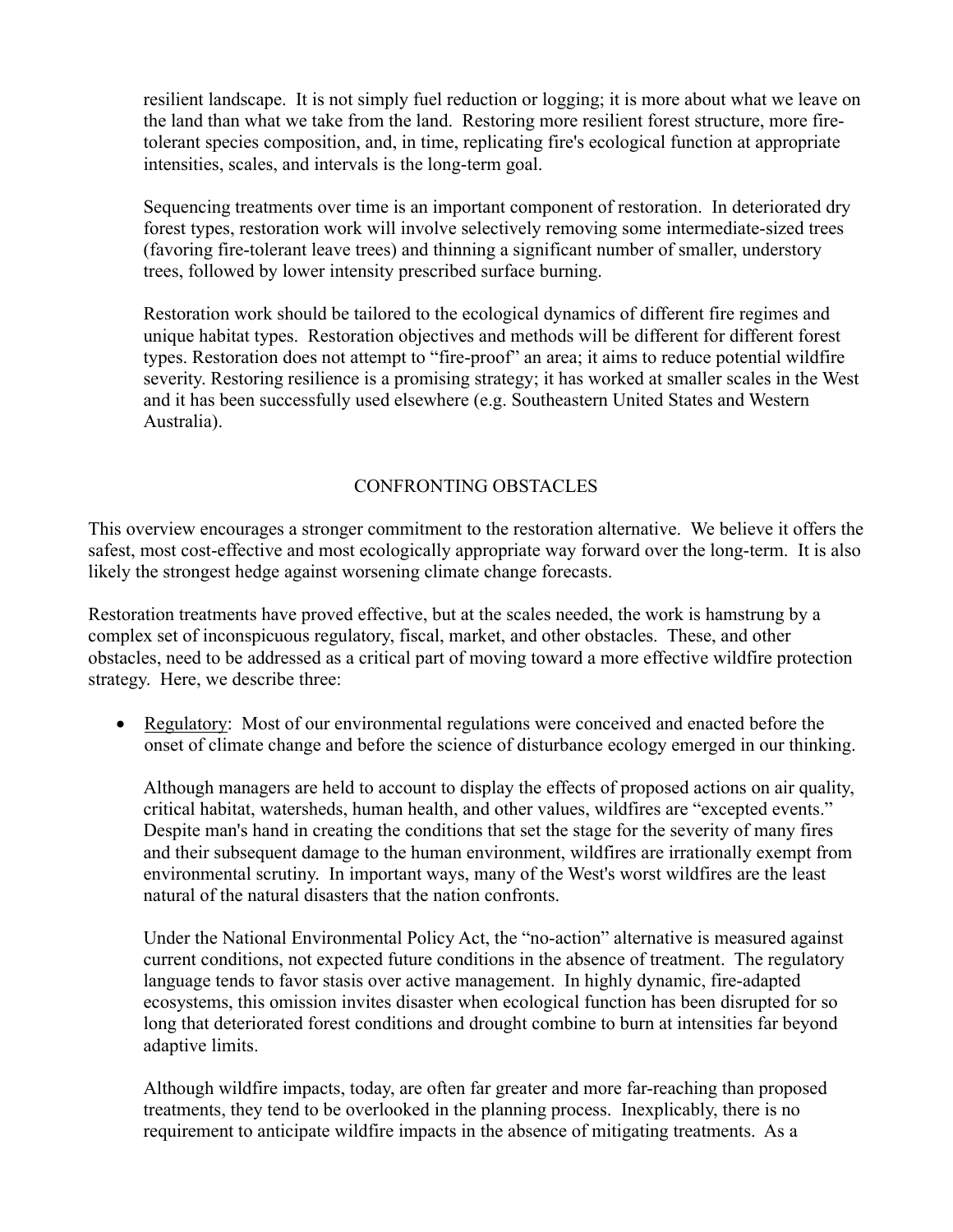resilient landscape. It is not simply fuel reduction or logging; it is more about what we leave on the land than what we take from the land. Restoring more resilient forest structure, more firetolerant species composition, and, in time, replicating fire's ecological function at appropriate intensities, scales, and intervals is the long-term goal.

Sequencing treatments over time is an important component of restoration. In deteriorated dry forest types, restoration work will involve selectively removing some intermediate-sized trees (favoring fire-tolerant leave trees) and thinning a significant number of smaller, understory trees, followed by lower intensity prescribed surface burning.

Restoration work should be tailored to the ecological dynamics of different fire regimes and unique habitat types. Restoration objectives and methods will be different for different forest types. Restoration does not attempt to "fire-proof" an area; it aims to reduce potential wildfire severity. Restoring resilience is a promising strategy; it has worked at smaller scales in the West and it has been successfully used elsewhere (e.g. Southeastern United States and Western Australia).

# CONFRONTING OBSTACLES

This overview encourages a stronger commitment to the restoration alternative. We believe it offers the safest, most cost-effective and most ecologically appropriate way forward over the long-term. It is also likely the strongest hedge against worsening climate change forecasts.

Restoration treatments have proved effective, but at the scales needed, the work is hamstrung by a complex set of inconspicuous regulatory, fiscal, market, and other obstacles. These, and other obstacles, need to be addressed as a critical part of moving toward a more effective wildfire protection strategy. Here, we describe three:

• Regulatory: Most of our environmental regulations were conceived and enacted before the onset of climate change and before the science of disturbance ecology emerged in our thinking.

Although managers are held to account to display the effects of proposed actions on air quality, critical habitat, watersheds, human health, and other values, wildfires are "excepted events." Despite man's hand in creating the conditions that set the stage for the severity of many fires and their subsequent damage to the human environment, wildfires are irrationally exempt from environmental scrutiny. In important ways, many of the West's worst wildfires are the least natural of the natural disasters that the nation confronts.

Under the National Environmental Policy Act, the "no-action" alternative is measured against current conditions, not expected future conditions in the absence of treatment. The regulatory language tends to favor stasis over active management. In highly dynamic, fire-adapted ecosystems, this omission invites disaster when ecological function has been disrupted for so long that deteriorated forest conditions and drought combine to burn at intensities far beyond adaptive limits.

Although wildfire impacts, today, are often far greater and more far-reaching than proposed treatments, they tend to be overlooked in the planning process. Inexplicably, there is no requirement to anticipate wildfire impacts in the absence of mitigating treatments. As a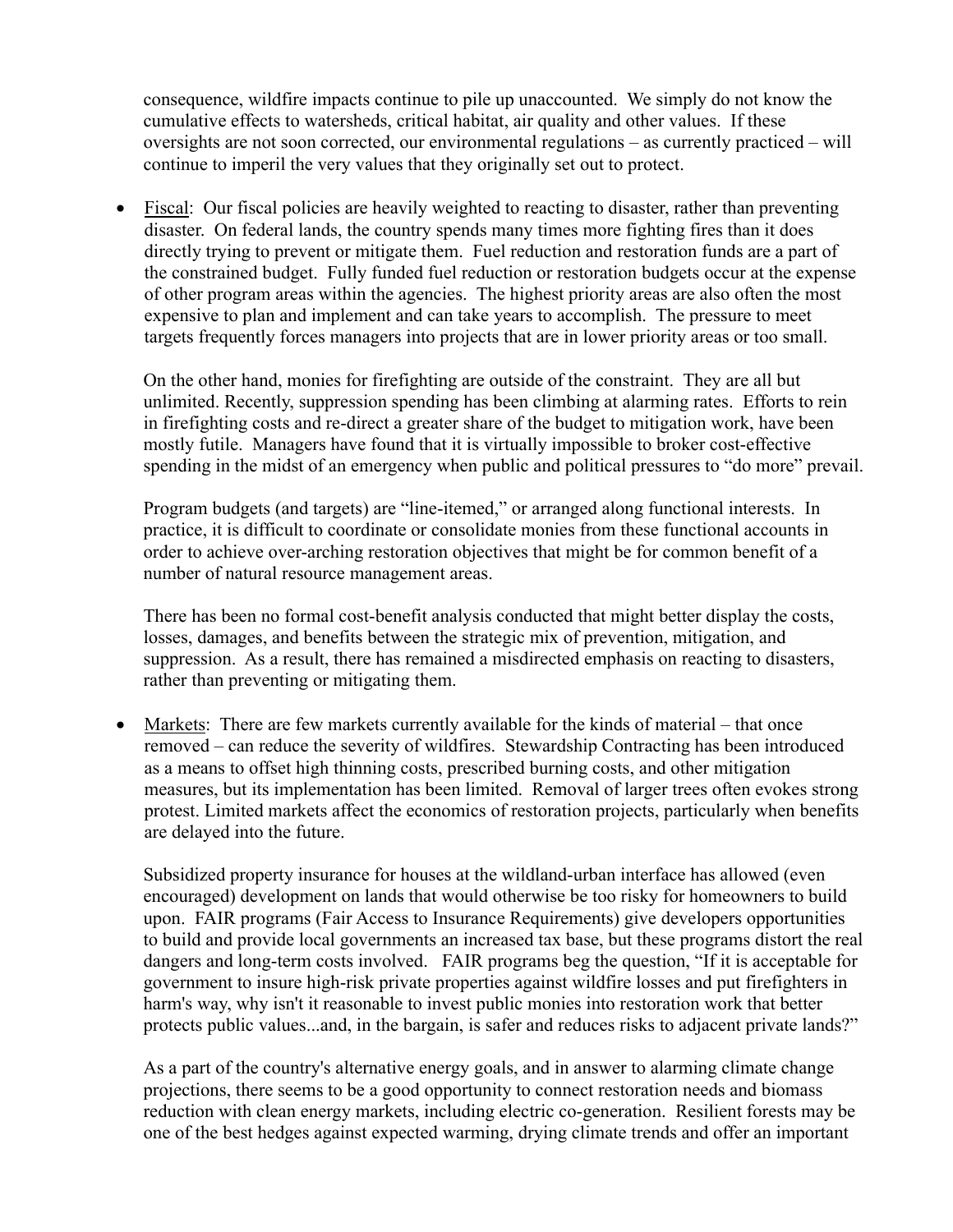consequence, wildfire impacts continue to pile up unaccounted. We simply do not know the cumulative effects to watersheds, critical habitat, air quality and other values. If these oversights are not soon corrected, our environmental regulations – as currently practiced – will continue to imperil the very values that they originally set out to protect.

• Fiscal: Our fiscal policies are heavily weighted to reacting to disaster, rather than preventing disaster. On federal lands, the country spends many times more fighting fires than it does directly trying to prevent or mitigate them. Fuel reduction and restoration funds are a part of the constrained budget. Fully funded fuel reduction or restoration budgets occur at the expense of other program areas within the agencies. The highest priority areas are also often the most expensive to plan and implement and can take years to accomplish. The pressure to meet targets frequently forces managers into projects that are in lower priority areas or too small.

On the other hand, monies for firefighting are outside of the constraint. They are all but unlimited. Recently, suppression spending has been climbing at alarming rates. Efforts to rein in firefighting costs and re-direct a greater share of the budget to mitigation work, have been mostly futile. Managers have found that it is virtually impossible to broker cost-effective spending in the midst of an emergency when public and political pressures to "do more" prevail.

Program budgets (and targets) are "line-itemed," or arranged along functional interests. In practice, it is difficult to coordinate or consolidate monies from these functional accounts in order to achieve over-arching restoration objectives that might be for common benefit of a number of natural resource management areas.

There has been no formal cost-benefit analysis conducted that might better display the costs, losses, damages, and benefits between the strategic mix of prevention, mitigation, and suppression. As a result, there has remained a misdirected emphasis on reacting to disasters, rather than preventing or mitigating them.

Markets: There are few markets currently available for the kinds of material – that once removed – can reduce the severity of wildfires. Stewardship Contracting has been introduced as a means to offset high thinning costs, prescribed burning costs, and other mitigation measures, but its implementation has been limited. Removal of larger trees often evokes strong protest. Limited markets affect the economics of restoration projects, particularly when benefits are delayed into the future.

Subsidized property insurance for houses at the wildland-urban interface has allowed (even encouraged) development on lands that would otherwise be too risky for homeowners to build upon. FAIR programs (Fair Access to Insurance Requirements) give developers opportunities to build and provide local governments an increased tax base, but these programs distort the real dangers and long-term costs involved. FAIR programs beg the question, "If it is acceptable for government to insure high-risk private properties against wildfire losses and put firefighters in harm's way, why isn't it reasonable to invest public monies into restoration work that better protects public values...and, in the bargain, is safer and reduces risks to adjacent private lands?"

As a part of the country's alternative energy goals, and in answer to alarming climate change projections, there seems to be a good opportunity to connect restoration needs and biomass reduction with clean energy markets, including electric co-generation. Resilient forests may be one of the best hedges against expected warming, drying climate trends and offer an important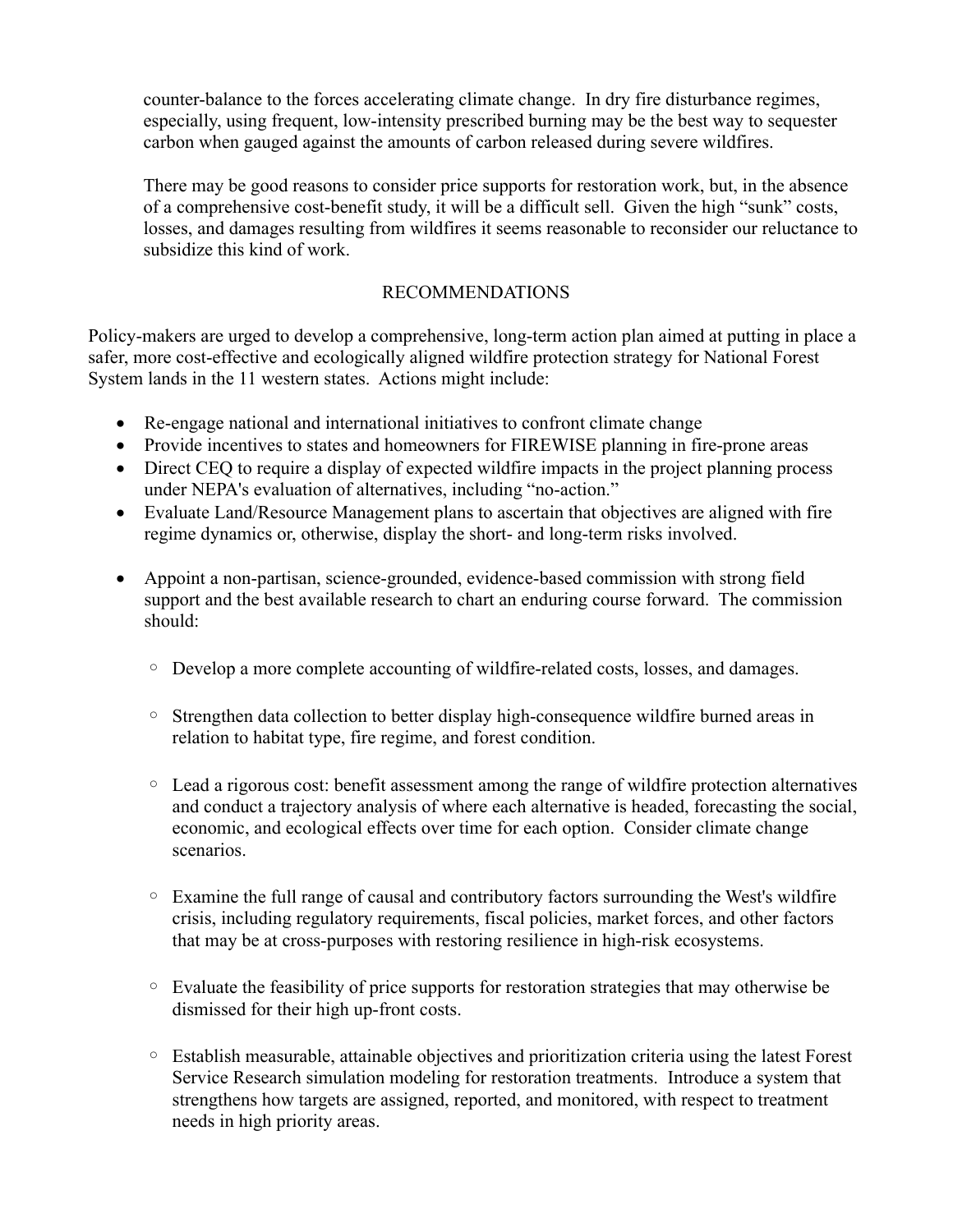counter-balance to the forces accelerating climate change. In dry fire disturbance regimes, especially, using frequent, low-intensity prescribed burning may be the best way to sequester carbon when gauged against the amounts of carbon released during severe wildfires.

There may be good reasons to consider price supports for restoration work, but, in the absence of a comprehensive cost-benefit study, it will be a difficult sell. Given the high "sunk" costs, losses, and damages resulting from wildfires it seems reasonable to reconsider our reluctance to subsidize this kind of work.

# RECOMMENDATIONS

Policy-makers are urged to develop a comprehensive, long-term action plan aimed at putting in place a safer, more cost-effective and ecologically aligned wildfire protection strategy for National Forest System lands in the 11 western states. Actions might include:

- Re-engage national and international initiatives to confront climate change
- Provide incentives to states and homeowners for FIREWISE planning in fire-prone areas
- Direct CEQ to require a display of expected wildfire impacts in the project planning process under NEPA's evaluation of alternatives, including "no-action."
- Evaluate Land/Resource Management plans to ascertain that objectives are aligned with fire regime dynamics or, otherwise, display the short- and long-term risks involved.
- Appoint a non-partisan, science-grounded, evidence-based commission with strong field support and the best available research to chart an enduring course forward. The commission should:
	- Develop a more complete accounting of wildfire-related costs, losses, and damages.
	- Strengthen data collection to better display high-consequence wildfire burned areas in relation to habitat type, fire regime, and forest condition.
	- Lead a rigorous cost: benefit assessment among the range of wildfire protection alternatives and conduct a trajectory analysis of where each alternative is headed, forecasting the social, economic, and ecological effects over time for each option. Consider climate change scenarios.
	- Examine the full range of causal and contributory factors surrounding the West's wildfire crisis, including regulatory requirements, fiscal policies, market forces, and other factors that may be at cross-purposes with restoring resilience in high-risk ecosystems.
	- Evaluate the feasibility of price supports for restoration strategies that may otherwise be dismissed for their high up-front costs.
	- Establish measurable, attainable objectives and prioritization criteria using the latest Forest Service Research simulation modeling for restoration treatments. Introduce a system that strengthens how targets are assigned, reported, and monitored, with respect to treatment needs in high priority areas.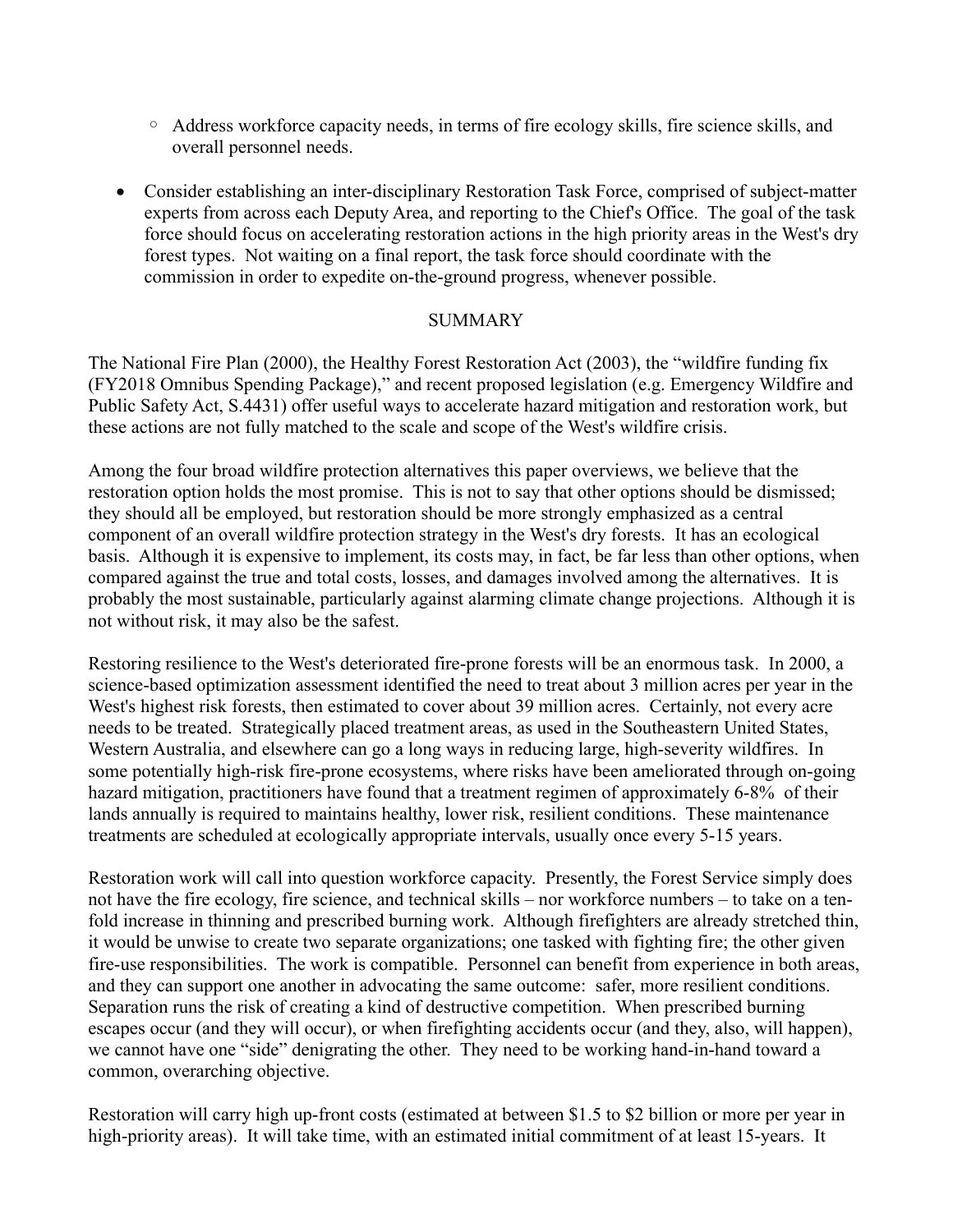- Address workforce capacity needs, in terms of fire ecology skills, fire science skills, and overall personnel needs.
- Consider establishing an inter-disciplinary Restoration Task Force, comprised of subject-matter experts from across each Deputy Area, and reporting to the Chief's Office. The goal of the task force should focus on accelerating restoration actions in the high priority areas in the West's dry forest types. Not waiting on a final report, the task force should coordinate with the commission in order to expedite on-the-ground progress, whenever possible.

# SUMMARY

The National Fire Plan (2000), the Healthy Forest Restoration Act (2003), the "wildfire funding fix (FY2018 Omnibus Spending Package)," and recent proposed legislation (e.g. Emergency Wildfire and Public Safety Act, S.4431) offer useful ways to accelerate hazard mitigation and restoration work, but these actions are not fully matched to the scale and scope of the West's wildfire crisis.

Among the four broad wildfire protection alternatives this paper overviews, we believe that the restoration option holds the most promise. This is not to say that other options should be dismissed; they should all be employed, but restoration should be more strongly emphasized as a central component of an overall wildfire protection strategy in the West's dry forests. It has an ecological basis. Although it is expensive to implement, its costs may, in fact, be far less than other options, when compared against the true and total costs, losses, and damages involved among the alternatives. It is probably the most sustainable, particularly against alarming climate change projections. Although it is not without risk, it may also be the safest.

Restoring resilience to the West's deteriorated fire-prone forests will be an enormous task. In 2000, a science-based optimization assessment identified the need to treat about 3 million acres per year in the West's highest risk forests, then estimated to cover about 39 million acres. Certainly, not every acre needs to be treated. Strategically placed treatment areas, as used in the Southeastern United States, Western Australia, and elsewhere can go a long ways in reducing large, high-severity wildfires. In some potentially high-risk fire-prone ecosystems, where risks have been ameliorated through on-going hazard mitigation, practitioners have found that a treatment regimen of approximately 6-8% of their lands annually is required to maintains healthy, lower risk, resilient conditions. These maintenance treatments are scheduled at ecologically appropriate intervals, usually once every 5-15 years.

Restoration work will call into question workforce capacity. Presently, the Forest Service simply does not have the fire ecology, fire science, and technical skills – nor workforce numbers – to take on a tenfold increase in thinning and prescribed burning work. Although firefighters are already stretched thin, it would be unwise to create two separate organizations; one tasked with fighting fire; the other given fire-use responsibilities. The work is compatible. Personnel can benefit from experience in both areas, and they can support one another in advocating the same outcome: safer, more resilient conditions. Separation runs the risk of creating a kind of destructive competition. When prescribed burning escapes occur (and they will occur), or when firefighting accidents occur (and they, also, will happen), we cannot have one "side" denigrating the other. They need to be working hand-in-hand toward a common, overarching objective.

Restoration will carry high up-front costs (estimated at between \$1.5 to \$2 billion or more per year in high-priority areas). It will take time, with an estimated initial commitment of at least 15-years. It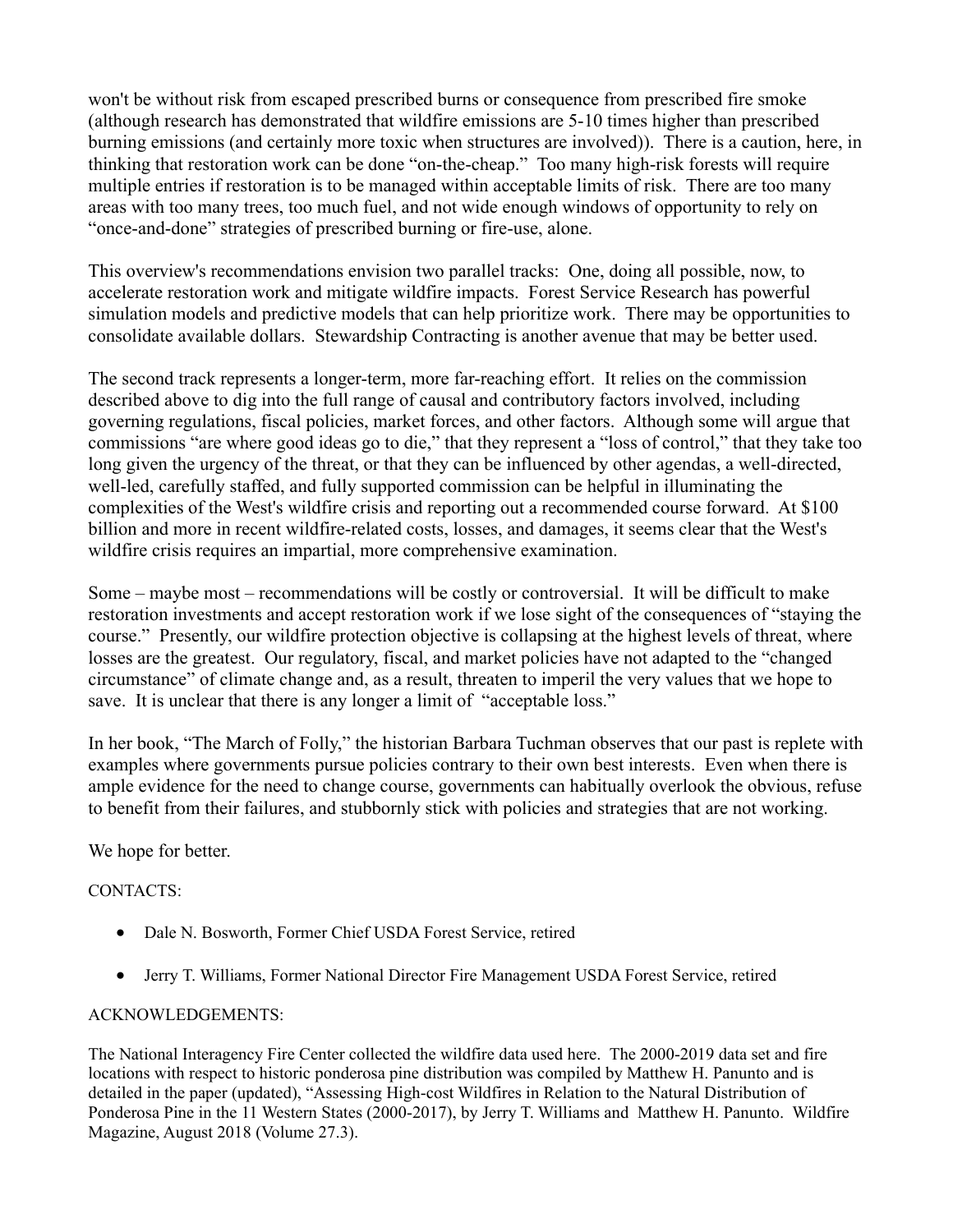won't be without risk from escaped prescribed burns or consequence from prescribed fire smoke (although research has demonstrated that wildfire emissions are 5-10 times higher than prescribed burning emissions (and certainly more toxic when structures are involved)). There is a caution, here, in thinking that restoration work can be done "on-the-cheap." Too many high-risk forests will require multiple entries if restoration is to be managed within acceptable limits of risk. There are too many areas with too many trees, too much fuel, and not wide enough windows of opportunity to rely on "once-and-done" strategies of prescribed burning or fire-use, alone.

This overview's recommendations envision two parallel tracks: One, doing all possible, now, to accelerate restoration work and mitigate wildfire impacts. Forest Service Research has powerful simulation models and predictive models that can help prioritize work. There may be opportunities to consolidate available dollars. Stewardship Contracting is another avenue that may be better used.

The second track represents a longer-term, more far-reaching effort. It relies on the commission described above to dig into the full range of causal and contributory factors involved, including governing regulations, fiscal policies, market forces, and other factors. Although some will argue that commissions "are where good ideas go to die," that they represent a "loss of control," that they take too long given the urgency of the threat, or that they can be influenced by other agendas, a well-directed, well-led, carefully staffed, and fully supported commission can be helpful in illuminating the complexities of the West's wildfire crisis and reporting out a recommended course forward. At \$100 billion and more in recent wildfire-related costs, losses, and damages, it seems clear that the West's wildfire crisis requires an impartial, more comprehensive examination.

Some – maybe most – recommendations will be costly or controversial. It will be difficult to make restoration investments and accept restoration work if we lose sight of the consequences of "staying the course." Presently, our wildfire protection objective is collapsing at the highest levels of threat, where losses are the greatest. Our regulatory, fiscal, and market policies have not adapted to the "changed circumstance" of climate change and, as a result, threaten to imperil the very values that we hope to save. It is unclear that there is any longer a limit of "acceptable loss."

In her book, "The March of Folly," the historian Barbara Tuchman observes that our past is replete with examples where governments pursue policies contrary to their own best interests. Even when there is ample evidence for the need to change course, governments can habitually overlook the obvious, refuse to benefit from their failures, and stubbornly stick with policies and strategies that are not working.

We hope for better.

# CONTACTS:

- Dale N. Bosworth, Former Chief USDA Forest Service, retired
- Jerry T. Williams, Former National Director Fire Management USDA Forest Service, retired

# ACKNOWLEDGEMENTS:

The National Interagency Fire Center collected the wildfire data used here. The 2000-2019 data set and fire locations with respect to historic ponderosa pine distribution was compiled by Matthew H. Panunto and is detailed in the paper (updated), "Assessing High-cost Wildfires in Relation to the Natural Distribution of Ponderosa Pine in the 11 Western States (2000-2017), by Jerry T. Williams and Matthew H. Panunto. Wildfire Magazine, August 2018 (Volume 27.3).